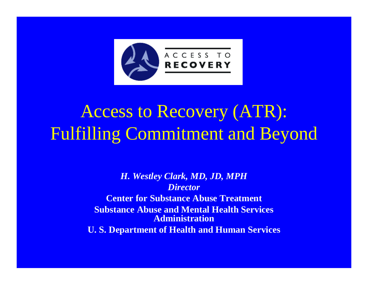

# Access to Recovery (ATR): Fulfilling Commitment and Beyond

*H. Westley Clark, MD, JD, MPH Director***Center for Substance Abuse Treatment Substance Abuse and Mental Health Services AdministrationU. S. Department of Health and Human Services**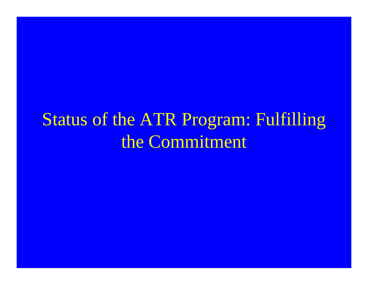### Status of the ATR Program: Fulfilling the Commitment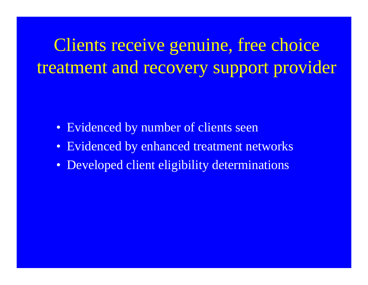Clients receive genuine, free choice treatment and recovery support provider

- Evidenced by number of clients seen
- Evidenced by enhanced treatment networks
- Developed client eligibility determinations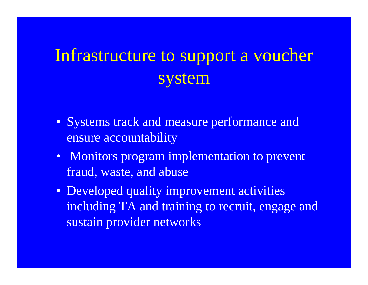## Infrastructure to support a voucher system

- Systems track and measure performance and ensure accountability
- Monitors program implementation to prevent fraud, waste, and abuse
- Developed quality improvement activities including TA and training to recruit, engage and sustain provider networks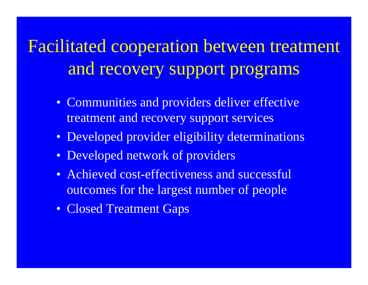Facilitated cooperation between treatment and recovery support programs

- Communities and providers deliver effective treatment and recovery support services
- Developed provider eligibility determinations
- Developed network of providers
- Achieved cost-effectiveness and successful outcomes for the largest number of people
- Closed Treatment Gaps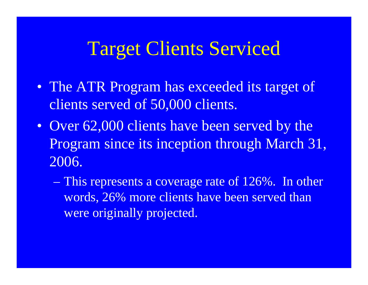## Target Clients Serviced

- The ATR Program has exceeded its target of clients served of 50,000 clients.
- Over 62,000 clients have been served by the Program since its inception through March 31, 2006.
	- This represents a coverage rate of 126%. In other words, 26% more clients have been served than were originally projected.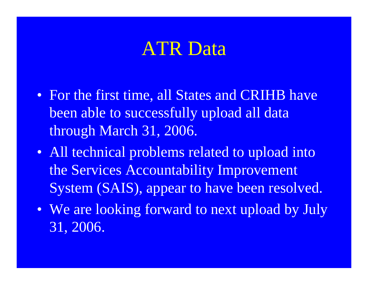# ATR Data

- For the first time, all States and CRIHB have been able to successfully upload all data through March 31, 2006.
- All technical problems related to upload into the Services Accountability Improvement System (SAIS), appear to have been resolved.
- We are looking forward to next upload by July 31, 2006.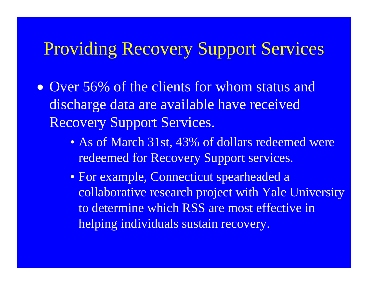#### Providing Recovery Support Services

- Over 56% of the clients for whom status and discharge data are available have received Recovery Support Services.
	- As of March 31st, 43% of dollars redeemed were redeemed for Recovery Support services.
	- For example, Connecticut spearheaded a collaborative research project with Yale University to determine which RSS are most effective in helping individuals sustain recovery.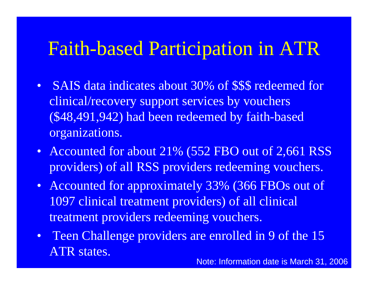## Faith-based Participation in ATR

- SAIS data indicates about 30% of \$\$\$ redeemed for clinical/recovery support services by vouchers (\$48,491,942) had been redeemed by faith-based organizations.
- Accounted for about 21% (552 FBO out of 2,661 RSS providers) of all RSS providers redeeming vouchers.
- Accounted for approximately 33% (366 FBOs out of 1097 clinical treatment providers) of all clinical treatment providers redeeming vouchers.
- Teen Challenge providers are enrolled in 9 of the 15 ATR states.

Note: Information date is March 31, 2006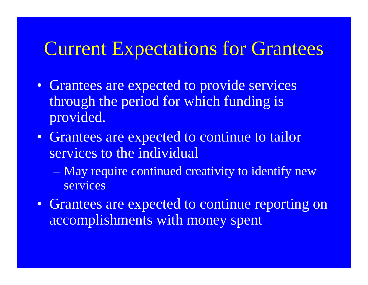#### Current Expectations for Grantees

- Grantees are expected to provide services through the period for which funding is provided.
- Grantees are expected to continue to tailor services to the individual
	- $\mathcal{L}_{\mathcal{A}}$  May require continued creativity to identify new services
- Grantees are expected to continue reporting on accomplishments with money spent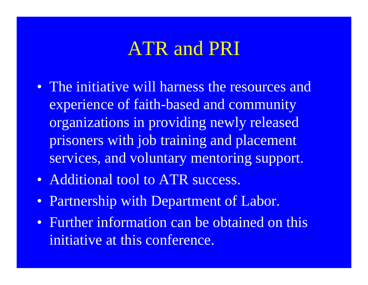#### ATR and PRI

- The initiative will harness the resources and experience of faith-based and community organizations in providing newly released prisoners with job training and placement services, and voluntary mentoring support.
- Additional tool to ATR success.
- Partnership with Department of Labor.
- Further information can be obtained on this initiative at this conference.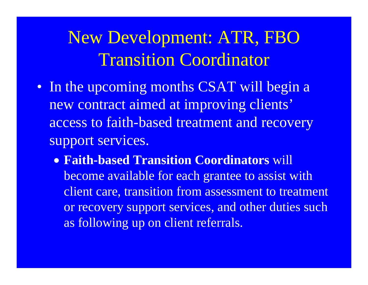## New Development: ATR, FBO Transition Coordinator

- In the upcoming months CSAT will begin a new contract aimed at improving clients' access to faith-based treatment and recovery support services.
	- **Faith-based Transition Coordinators** will become available for each grantee to assist with client care, transition from assessment to treatment or recovery support services, and other duties such as following up on client referrals.